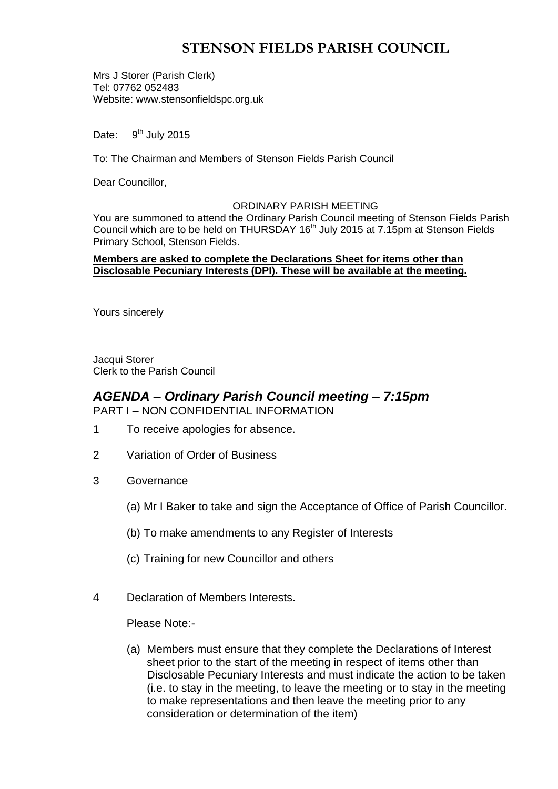# **STENSON FIELDS PARISH COUNCIL**

Mrs J Storer (Parish Clerk) Tel: 07762 052483 Website: www.stensonfieldspc.org.uk

Date:  $9<sup>th</sup>$  July 2015

To: The Chairman and Members of Stenson Fields Parish Council

Dear Councillor,

### ORDINARY PARISH MEETING

You are summoned to attend the Ordinary Parish Council meeting of Stenson Fields Parish Council which are to be held on THURSDAY 16<sup>th</sup> July 2015 at 7.15pm at Stenson Fields Primary School, Stenson Fields.

### **Members are asked to complete the Declarations Sheet for items other than Disclosable Pecuniary Interests (DPI). These will be available at the meeting.**

Yours sincerely

Jacqui Storer Clerk to the Parish Council

### *AGENDA – Ordinary Parish Council meeting – 7:15pm* PART I – NON CONFIDENTIAL INFORMATION

- 1 To receive apologies for absence.
- 2 Variation of Order of Business
- 3 Governance
	- (a) Mr I Baker to take and sign the Acceptance of Office of Parish Councillor.
	- (b) To make amendments to any Register of Interests
	- (c) Training for new Councillor and others
- 4 Declaration of Members Interests.

Please Note:-

(a) Members must ensure that they complete the Declarations of Interest sheet prior to the start of the meeting in respect of items other than Disclosable Pecuniary Interests and must indicate the action to be taken (i.e. to stay in the meeting, to leave the meeting or to stay in the meeting to make representations and then leave the meeting prior to any consideration or determination of the item)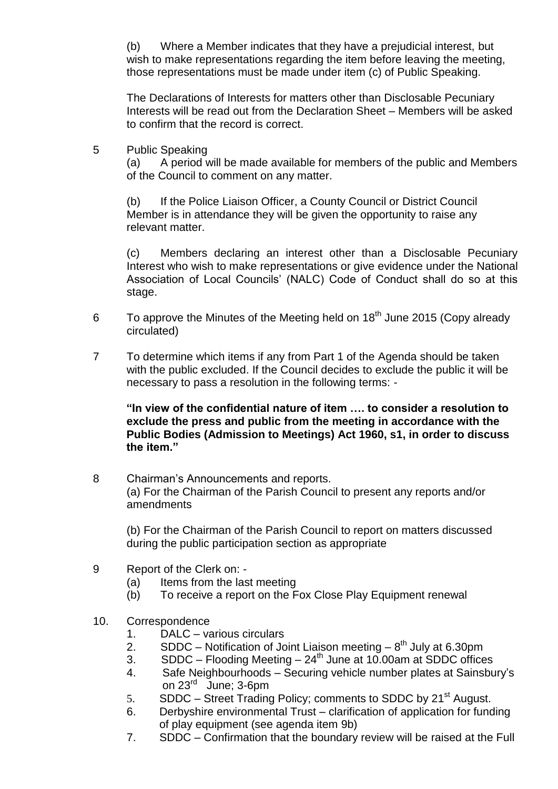(b) Where a Member indicates that they have a prejudicial interest, but wish to make representations regarding the item before leaving the meeting, those representations must be made under item (c) of Public Speaking.

The Declarations of Interests for matters other than Disclosable Pecuniary Interests will be read out from the Declaration Sheet – Members will be asked to confirm that the record is correct.

5 Public Speaking

(a) A period will be made available for members of the public and Members of the Council to comment on any matter.

(b) If the Police Liaison Officer, a County Council or District Council Member is in attendance they will be given the opportunity to raise any relevant matter.

(c) Members declaring an interest other than a Disclosable Pecuniary Interest who wish to make representations or give evidence under the National Association of Local Councils' (NALC) Code of Conduct shall do so at this stage.

- 6 To approve the Minutes of the Meeting held on  $18<sup>th</sup>$  June 2015 (Copy already circulated)
- 7 To determine which items if any from Part 1 of the Agenda should be taken with the public excluded. If the Council decides to exclude the public it will be necessary to pass a resolution in the following terms: -

**"In view of the confidential nature of item …. to consider a resolution to exclude the press and public from the meeting in accordance with the Public Bodies (Admission to Meetings) Act 1960, s1, in order to discuss the item."** 

8 Chairman's Announcements and reports. (a) For the Chairman of the Parish Council to present any reports and/or amendments

(b) For the Chairman of the Parish Council to report on matters discussed during the public participation section as appropriate

- 9 Report of the Clerk on:
	- (a) Items from the last meeting
	- (b) To receive a report on the Fox Close Play Equipment renewal
- 10. Correspondence
	- 1. DALC various circulars
	- 2. SDDC Notification of Joint Liaison meeting  $8^{th}$  July at 6.30pm
	- 3. SDDC Flooding Meeting  $24<sup>th</sup>$  June at 10.00am at SDDC offices
	- 4. Safe Neighbourhoods Securing vehicle number plates at Sainsbury's on 23<sup>rd</sup> June; 3-6pm
	- 5. SDDC Street Trading Policy; comments to SDDC by  $21<sup>st</sup>$  August.
	- 6. Derbyshire environmental Trust clarification of application for funding of play equipment (see agenda item 9b)
	- 7. SDDC Confirmation that the boundary review will be raised at the Full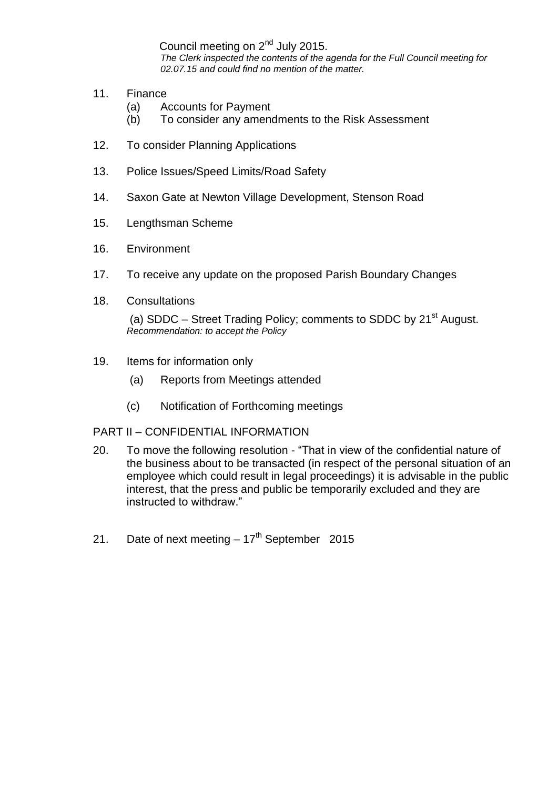Council meeting on 2<sup>nd</sup> July 2015.

*The Clerk inspected the contents of the agenda for the Full Council meeting for 02.07.15 and could find no mention of the matter.*

- 11. Finance
	- (a) Accounts for Payment
	- (b) To consider any amendments to the Risk Assessment
- 12. To consider Planning Applications
- 13. Police Issues/Speed Limits/Road Safety
- 14. Saxon Gate at Newton Village Development, Stenson Road
- 15. Lengthsman Scheme
- 16. Environment
- 17. To receive any update on the proposed Parish Boundary Changes
- 18. Consultations

(a) SDDC – Street Trading Policy; comments to SDDC by  $21<sup>st</sup>$  August. *Recommendation: to accept the Policy*

- 19. Items for information only
	- (a) Reports from Meetings attended
	- (c) Notification of Forthcoming meetings

### PART II – CONFIDENTIAL INFORMATION

- 20. To move the following resolution "That in view of the confidential nature of the business about to be transacted (in respect of the personal situation of an employee which could result in legal proceedings) it is advisable in the public interest, that the press and public be temporarily excluded and they are instructed to withdraw."
- 21. Date of next meeting  $-17<sup>th</sup>$  September 2015